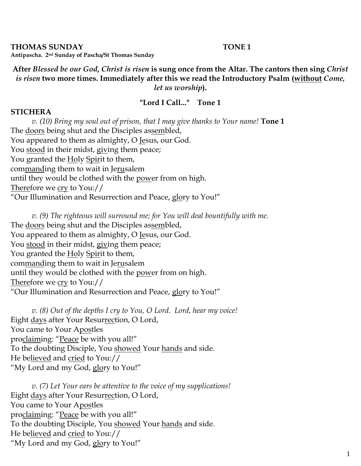#### **THOMAS SUNDAY TONE 1 Antipascha. 2nd Sunday of Pascha/St Thomas Sunday**

**After** *Blessed be our God***,** *Christ is risen* **is sung once from the Altar. The cantors then sing** *Christ is risen* **two more times. Immediately after this we read the Introductory Psalm (without** *Come, let us worship***).**

# **"Lord I Call..." Tone 1**

#### **STICHERA**

*v. (10) Bring my soul out of prison, that I may give thanks to Your name!* **Tone 1** The doors being shut and the Disciples assembled, You appeared to them as almighty, O Jesus, our God. You stood in their midst, giving them peace; You granted the Holy Spirit to them, commanding them to wait in Jerusalem until they would be clothed with the power from on high. Therefore we cry to You:// "Our Illumination and Resurrection and Peace, glory to You!"

*v. (9) The righteous will surround me; for You will deal bountifully with me.*  The doors being shut and the Disciples assembled, You appeared to them as almighty, O <u>Je</u>sus, our God. You stood in their midst, giving them peace; You granted the Holy Spirit to them, commanding them to wait in Jerusalem until they would be clothed with the power from on high. Therefore we cry to You:// "Our Illumination and Resurrection and Peace, glory to You!"

*v. (8) Out of the depths I cry to You, O Lord. Lord, hear my voice!*  Eight days after Your Resurrection, O Lord, You came to Your Apostles proclaiming: "Peace be with you all!" To the doubting Disciple, You showed Your hands and side. He believed and cried to You:// "My Lord and my God, glory to You!"

*v. (7) Let Your ears be attentive to the voice of my supplications!* Eight days after Your Resurrection, O Lord, You came to Your Apostles proclaiming: "Peace be with you all!" To the doubting Disciple, You showed Your hands and side. He believed and cried to You:// "My Lord and my God, glory to You!"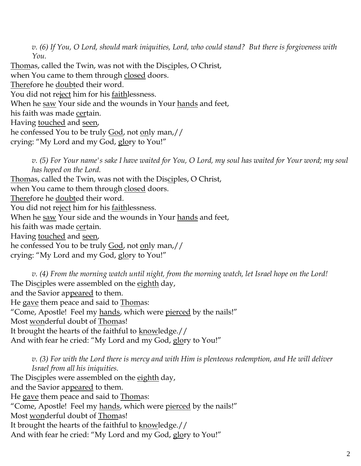*v. (6) If You, O Lord, should mark iniquities, Lord, who could stand? But there is forgiveness with You.*  Thomas, called the Twin, was not with the Disciples, O Christ, when You came to them through closed doors. Therefore he doubted their word. You did not reject him for his faithlessness.

When he saw Your side and the wounds in Your hands and feet,

his faith was made certain.

Having touched and seen,

he confessed You to be truly God, not only man,//

crying: "My Lord and my God, glory to You!"

*v. (5) For Your name's sake I have waited for You, O Lord, my soul has waited for Your word; my soul has hoped on the Lord.* 

Thomas, called the Twin, was not with the Disciples, O Christ, when You came to them through closed doors. Therefore he doubted their word. You did not reject him for his faithlessness. When he saw Your side and the wounds in Your hands and feet, his faith was made certain. Having touched and seen, he confessed You to be truly God, not only man,// crying: "My Lord and my God, glory to You!"

*v. (4) From the morning watch until night, from the morning watch, let Israel hope on the Lord!*  The Disciples were assembled on the eighth day, and the Savior appeared to them. He gave them peace and said to Thomas: "Come, Apostle! Feel my hands, which were pierced by the nails!" Most wonderful doubt of Thomas! It brought the hearts of the faithful to knowledge.// And with fear he cried: "My Lord and my God, glory to You!"

*v. (3) For with the Lord there is mercy and with Him is plenteous redemption, and He will deliver Israel from all his iniquities.*

The Disciples were assembled on the eighth day, and the Savior appeared to them. He gave them peace and said to Thomas: "Come, Apostle! Feel my hands, which were pierced by the nails!" Most wonderful doubt of Thomas! It brought the hearts of the faithful to knowledge.// And with fear he cried: "My Lord and my God, glory to You!"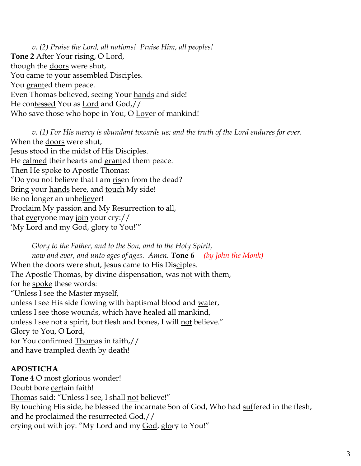*v. (2) Praise the Lord, all nations! Praise Him, all peoples!* Tone 2 After Your rising, O Lord, though the doors were shut, You came to your assembled Disciples. You granted them peace. Even Thomas believed, seeing Your hands and side! He confessed You as Lord and God,// Who save those who hope in You, O Lover of mankind!

*v. (1) For His mercy is abundant towards us; and the truth of the Lord endures for ever.*  When the doors were shut, Jesus stood in the midst of His Disciples. He calmed their hearts and granted them peace. Then He spoke to Apostle Thomas: "Do you not believe that I am risen from the dead? Bring your hands here, and touch My side! Be no longer an unbeliever! Proclaim My passion and My Resurrection to all, that everyone may join your cry:// 'My Lord and my God, glory to You!'"

*Glory to the Father, and to the Son, and to the Holy Spirit, now and ever, and unto ages of ages. Amen.* **Tone 6** *(by John the Monk)* When the doors were shut, Jesus came to His Disciples. The Apostle Thomas, by divine dispensation, was not with them, for he spoke these words: "Unless I see the Master myself, unless I see His side flowing with baptismal blood and water, unless I see those wounds, which have healed all mankind, unless I see not a spirit, but flesh and bones, I will not believe." Glory to You, O Lord, for You confirmed Thomas in faith,// and have trampled death by death!

## **APOSTICHA**

**Tone 4** O most glorious wonder! Doubt bore certain faith! Thomas said: "Unless I see, I shall not believe!" By touching His side, he blessed the incarnate Son of God, Who had suffered in the flesh, and he proclaimed the resurrected God,// crying out with joy: "My Lord and my God, glory to You!"